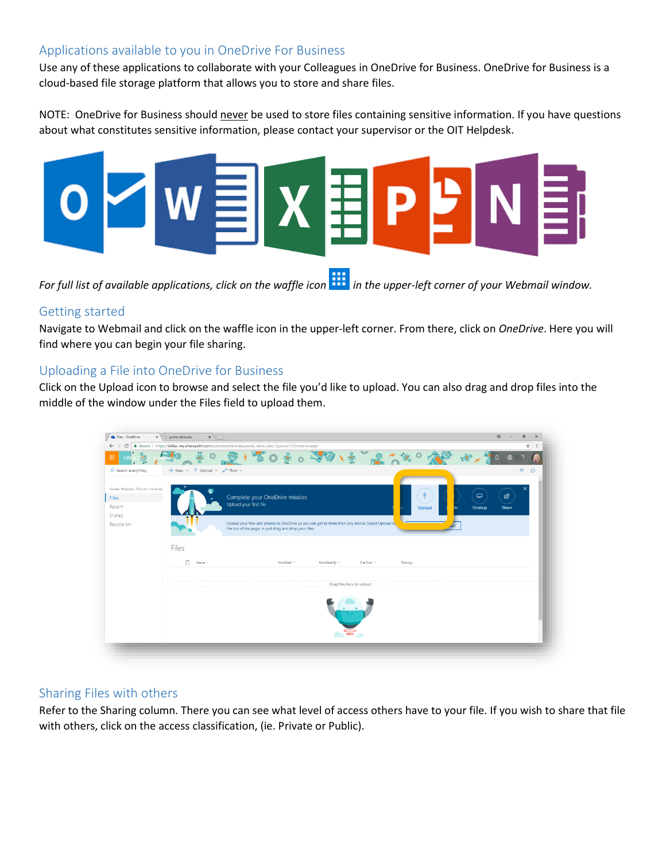#### Applications available to you in OneDrive For Business

Use any of these applications to collaborate with your Colleagues in OneDrive for Business. OneDrive for Business is a cloud-based file storage platform that allows you to store and share files.

NOTE: OneDrive for Business should never be used to store files containing sensitive information. If you have questions about what constitutes sensitive information, please contact your supervisor or the OIT Helpdesk.



*For full list of available applications, click on the waffle icon in the upper-left corner of your Webmail window.*

#### Getting started

Navigate to Webmail and click on the waffle icon in the upper-left corner. From there, click on *OneDrive*. Here you will find where you can begin your file sharing.

# Uploading a File into OneDrive for Business

Click on the Upload icon to browse and select the file you'd like to upload. You can also drag and drop files into the middle of the window under the Files field to upload them.

| C                                                                        | Secure   https://deltac-my.sharepoint.com/personal/mirandapawlak_delta_edu/_layouts/15/onedrive.aspx<br>$\mathbf{e}_{\mathbf{r}}$ | ☆                       |
|--------------------------------------------------------------------------|-----------------------------------------------------------------------------------------------------------------------------------|-------------------------|
| 冊                                                                        | 客 の ま 。 こ の 人 ま ご こ くや                                                                                                            |                         |
| $O$ Search everything                                                    | $+$ New $\vee$ $\overline{\uparrow}$ Upload $\vee$ $\mathsf{o}^{\mathsf{o}}$ Flow $\vee$                                          | $=$<br>$\odot$          |
| Pawlak, Miranda - Ellucian <miranda< td=""><td></td><td></td></miranda<> |                                                                                                                                   |                         |
| <b>Files</b>                                                             | 不<br>Complete your OneDrive mission:                                                                                              | $\Box$<br>ピ             |
| Recent                                                                   | Upload your first file<br><b>Upload</b>                                                                                           | Share<br><b>Desktop</b> |
| Shared                                                                   | Upload your files and photos to OneDrive so you can get to them from any device. Select Upload net                                |                         |
| Recycle bin                                                              | the top of the page, or just drag and drop your files.                                                                            |                         |
|                                                                          |                                                                                                                                   |                         |
|                                                                          | Files                                                                                                                             |                         |
|                                                                          | n<br>Name $\vee$<br>Modified $\vee$<br>Modified By $\vee$<br>File Size $\vee$<br>Sharing                                          |                         |
|                                                                          |                                                                                                                                   |                         |
|                                                                          | Drag files here to upload                                                                                                         |                         |
|                                                                          |                                                                                                                                   |                         |

# Sharing Files with others

Refer to the Sharing column. There you can see what level of access others have to your file. If you wish to share that file with others, click on the access classification, (ie. Private or Public).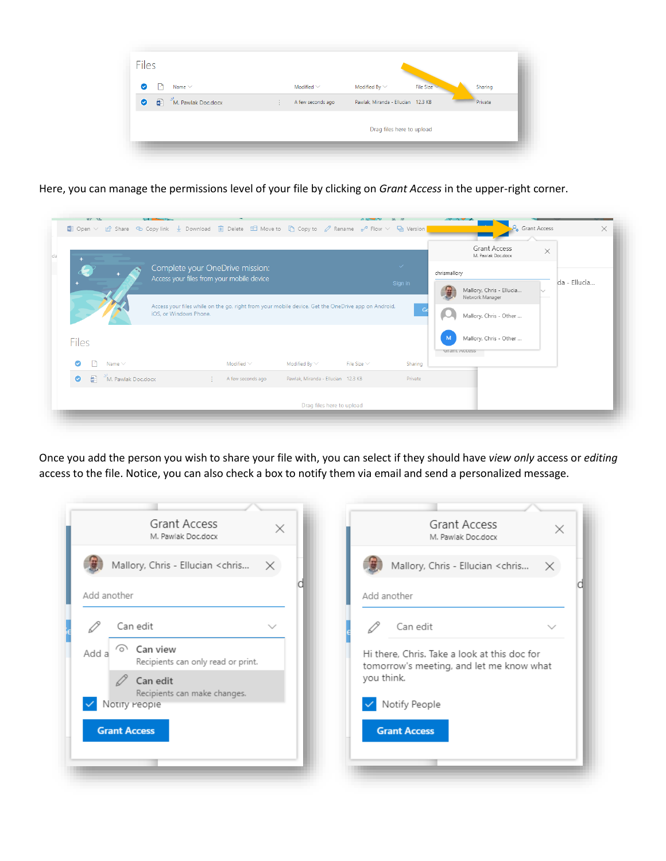| <b>Files</b>                               |   |                   |                                    |           |         |
|--------------------------------------------|---|-------------------|------------------------------------|-----------|---------|
| Name $\vee$<br>ŀ۹<br>ø                     |   | Modified $\vee$   | Modified By $\vee$                 | File Size | Sharing |
| $2^1$ M. Pawlak Doc.docx<br>$\bullet$<br>酮 | ÷ | A few seconds ago | Pawlak, Miranda - Ellucian 12.3 KB |           | Private |
|                                            |   |                   | Drag files here to upload          |           |         |

Here, you can manage the permissions level of your file by clicking on *Grant Access* in the upper-right corner.

|                                 |                        |                              |                                           |                  |                                    |                                                                                                               | <b>Grant Access</b><br>M. Pawlak Doc.docx   | $\times$                                                         |  |
|---------------------------------|------------------------|------------------------------|-------------------------------------------|------------------|------------------------------------|---------------------------------------------------------------------------------------------------------------|---------------------------------------------|------------------------------------------------------------------|--|
| Complete your OneDrive mission: |                        |                              |                                           |                  | $\checkmark$                       | chrismallory                                                                                                  |                                             |                                                                  |  |
|                                 |                        |                              |                                           |                  |                                    |                                                                                                               | Mallory, Chris - Ellucia<br>Network Manager | da - Ellucia                                                     |  |
|                                 | iOS, or Windows Phone. |                              |                                           |                  | $-$ Ge                             |                                                                                                               |                                             |                                                                  |  |
|                                 |                        |                              |                                           |                  |                                    | M                                                                                                             |                                             |                                                                  |  |
|                                 |                        | Modified $\vee$              | Modified By $\vee$                        | File Size $\vee$ | Sharing                            |                                                                                                               |                                             |                                                                  |  |
|                                 | Æ.                     | A few seconds ago            |                                           |                  | Private                            |                                                                                                               |                                             |                                                                  |  |
|                                 | Name $\vee$            | $\bullet$ M. Pawlak Doc.docx | Access your files from your mobile device |                  | Pawlak, Miranda - Ellucian 12.3 KB | Sign in<br>Access your files while on the go, right from your mobile device. Get the OneDrive app on Android, |                                             | Mallory, Chris - Other<br>Mallory, Chris - Other<br>Grant Access |  |

Once you add the person you wish to share your file with, you can select if they should have *view only* access or *editing* access to the file. Notice, you can also check a box to notify them via email and send a personalized message.

| Grant Access<br>M. Pawlak Doc.docx                                     | Grant Access<br>$\times$<br>$\times$<br>M. Pawlak Doc.docx                               |
|------------------------------------------------------------------------|------------------------------------------------------------------------------------------|
| Mallory, Chris - Ellucian <chris<br><math>\mathsf{X}</math></chris<br> | Mallory, Chris - Ellucian <chris<br>X</chris<br>                                         |
| Add another                                                            | Add another                                                                              |
| Can edit<br>$\checkmark$                                               | Can edit<br>$\checkmark$                                                                 |
| Can view<br>ده ۱<br>Add a<br>Recipients can only read or print.        | Hi there. Chris. Take a look at this doc for<br>tomorrow's meeting, and let me know what |
| Can edit<br>Recipients can make changes.                               | you think.                                                                               |
| Notity reopie                                                          | Notify People                                                                            |
| <b>Grant Access</b>                                                    | <b>Grant Access</b>                                                                      |
|                                                                        |                                                                                          |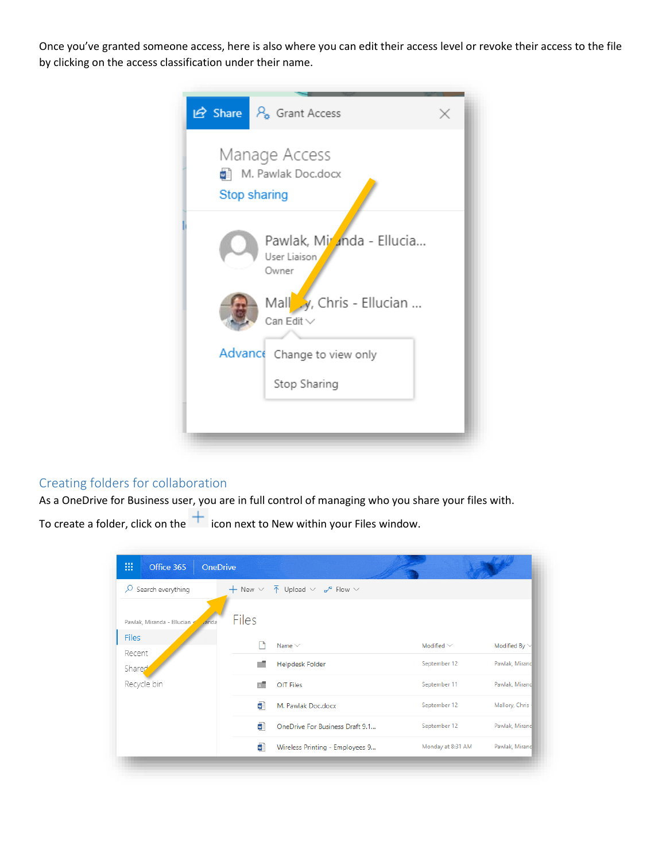Once you've granted someone access, here is also where you can edit their access level or revoke their access to the file by clicking on the access classification under their name.



# Creating folders for collaboration

As a OneDrive for Business user, you are in full control of managing who you share your files with.

To create a folder, click on the  $\frac{+}{+}$  icon next to New within your Files window.

| 冊<br>Office 365            | <b>OneDrive</b>      |                                                                                            |                   |                    |
|----------------------------|----------------------|--------------------------------------------------------------------------------------------|-------------------|--------------------|
| Search everything<br>ρ     |                      | $+$ New $\vee$ $\overline{\uparrow}$ Upload $\vee$ $\mathsf{n}^{\prime\prime}$ Flow $\vee$ |                   |                    |
| Pawlak, Miranda - Ellucian | Files<br><b>anda</b> |                                                                                            |                   |                    |
| <b>Files</b><br>Recent     | ۱٦                   | Name $\vee$                                                                                | Modified $\vee$   | Modified By $\vee$ |
| Shared                     |                      | <b>Helpdesk Folder</b>                                                                     | September 12      | Pawlak, Mirand     |
| Recycle bin                | $\overline{R}$       | September 11<br><b>OIT Files</b>                                                           | Pawlak, Mirand    |                    |
|                            | Œ                    | M. Pawlak Doc.docx                                                                         | September 12      | Mallory, Chris     |
|                            | ы                    | OneDrive For Business Draft 9.1                                                            | September 12      | Pawlak, Mirano     |
|                            | u.                   | Wireless Printing - Employees 9                                                            | Monday at 8:31 AM | Pawlak, Mirano     |
|                            |                      |                                                                                            |                   |                    |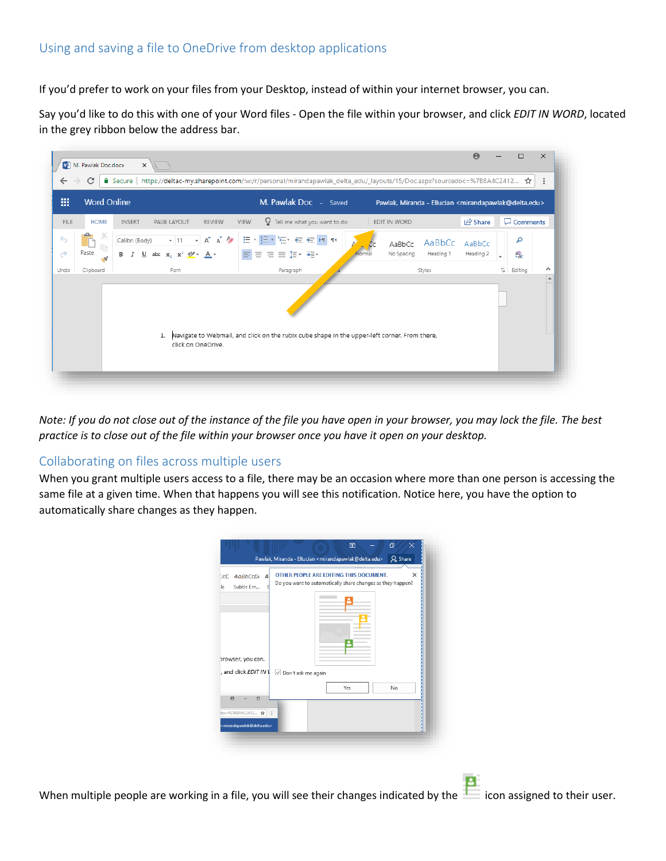# Using and saving a file to OneDrive from desktop applications

If you'd prefer to work on your files from your Desktop, instead of within your internet browser, you can.

Say you'd like to do this with one of your Word files - Open the file within your browser, and click *EDIT IN WORD*, located in the grey ribbon below the address bar.



*Note: If you do not close out of the instance of the file you have open in your browser, you may lock the file. The best practice is to close out of the file within your browser once you have it open on your desktop.*

#### Collaborating on files across multiple users

When you grant multiple users access to a file, there may be an occasion where more than one person is accessing the same file at a given time. When that happens you will see this notification. Notice here, you have the option to automatically share changes as they happen.

| AaBbCcDt<br>CCD<br>A<br>Subtle Em<br>le                                  |                      | OTHER PEOPLE ARE EDITING THIS DOCUMENT.<br>Do you want to automatically share changes as they happen? |    | × |
|--------------------------------------------------------------------------|----------------------|-------------------------------------------------------------------------------------------------------|----|---|
| prowser, you can.                                                        |                      |                                                                                                       |    |   |
| , and click EDIT IN                                                      | √ Don't ask me again |                                                                                                       |    |   |
|                                                                          |                      | Yes                                                                                                   | No |   |
| $\Theta$<br>$\Box$                                                       |                      |                                                                                                       |    |   |
| doc=%7B8A4C2412 ☆<br><mirandapawlak@delta.edu></mirandapawlak@delta.edu> |                      |                                                                                                       |    |   |

When multiple people are working in a file, you will see their changes indicated by the icon assigned to their user.